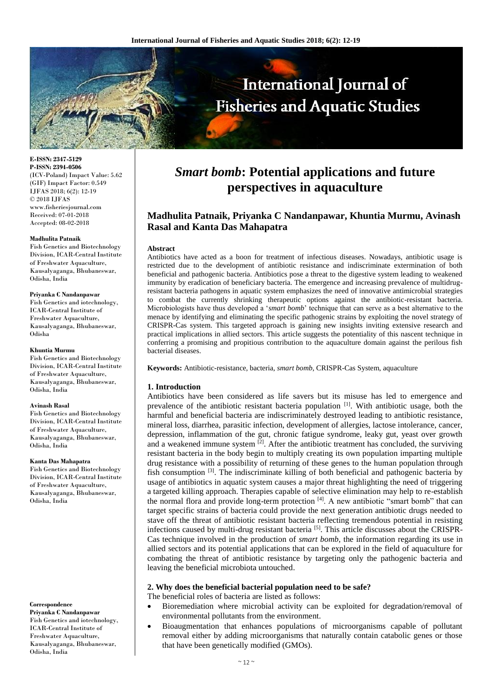

**E-ISSN: 2347-5129 P-ISSN: 2394-0506** (ICV-Poland) Impact Value: 5.62 (GIF) Impact Factor: 0.549 IJFAS 2018; 6(2): 12-19 © 2018 IJFAS www.fisheriesjournal.com Received: 07-01-2018 Accepted: 08-02-2018

#### **Madhulita Patnaik**

Fish Genetics and Biotechnology Division, ICAR-Central Institute of Freshwater Aquaculture, Kausalyaganga, Bhubaneswar, Odisha, India

#### **Priyanka C Nandanpawar**

Fish Genetics and iotechnology, ICAR-Central Institute of Freshwater Aquaculture, Kausalyaganga, Bhubaneswar, Odisha

#### **Khuntia Murmu**

Fish Genetics and Biotechnology Division, ICAR-Central Institute of Freshwater Aquaculture, Kausalyaganga, Bhubaneswar, Odisha, India

#### **Avinash Rasal**

Fish Genetics and Biotechnology Division, ICAR-Central Institute of Freshwater Aquaculture, Kausalyaganga, Bhubaneswar, Odisha, India

#### **Kanta Das Mahapatra**

Fish Genetics and Biotechnology Division, ICAR-Central Institute of Freshwater Aquaculture, Kausalyaganga, Bhubaneswar, Odisha, India

#### **Correspondence**

**Priyanka C Nandanpawar** Fish Genetics and iotechnology, ICAR-Central Institute of Freshwater Aquaculture, Kausalyaganga, Bhubaneswar, Odisha, India

# *Smart bomb***: Potential applications and future perspectives in aquaculture**

# **Madhulita Patnaik, Priyanka C Nandanpawar, Khuntia Murmu, Avinash Rasal and Kanta Das Mahapatra**

#### **Abstract**

Antibiotics have acted as a boon for treatment of infectious diseases. Nowadays, antibiotic usage is restricted due to the development of antibiotic resistance and indiscriminate extermination of both beneficial and pathogenic bacteria. Antibiotics pose a threat to the digestive system leading to weakened immunity by eradication of beneficiary bacteria. The emergence and increasing prevalence of multidrugresistant bacteria pathogens in aquatic system emphasizes the need of innovative antimicrobial strategies to combat the currently shrinking therapeutic options against the antibiotic-resistant bacteria. Microbiologists have thus developed a '*smart bomb*' technique that can serve as a best alternative to the menace by identifying and eliminating the specific pathogenic strains by exploiting the novel strategy of CRISPR-Cas system. This targeted approach is gaining new insights inviting extensive research and practical implications in allied sectors. This article suggests the potentiality of this nascent technique in conferring a promising and propitious contribution to the aquaculture domain against the perilous fish bacterial diseases.

**Keywords:** Antibiotic-resistance, bacteria, *smart bomb*, CRISPR-Cas System, aquaculture

## **1. Introduction**

Antibiotics have been considered as life savers but its misuse has led to emergence and prevalence of the antibiotic resistant bacteria population [1]. With antibiotic usage, both the harmful and beneficial bacteria are indiscriminately destroyed leading to antibiotic resistance, mineral loss, diarrhea, parasitic infection, development of allergies, lactose intolerance, cancer, depression, inflammation of the gut, chronic fatigue syndrome, leaky gut, yeast over growth and a weakened immune system  $\left[2\right]$ . After the antibiotic treatment has concluded, the surviving resistant bacteria in the body begin to multiply creating its own population imparting multiple drug resistance with a possibility of returning of these genes to the human population through fish consumption  $[3]$ . The indiscriminate killing of both beneficial and pathogenic bacteria by usage of antibiotics in aquatic system causes a major threat highlighting the need of triggering a targeted killing approach. Therapies capable of selective elimination may help to re-establish the normal flora and provide long-term protection <sup>[4]</sup>. A new antibiotic "smart bomb" that can target specific strains of bacteria could provide the next generation antibiotic drugs needed to stave off the threat of antibiotic resistant bacteria reflecting tremendous potential in resisting infections caused by multi-drug resistant bacteria [5]. This article discusses about the CRISPR-Cas technique involved in the production of *smart bomb*, the information regarding its use in allied sectors and its potential applications that can be explored in the field of aquaculture for combating the threat of antibiotic resistance by targeting only the pathogenic bacteria and leaving the beneficial microbiota untouched.

## **2. Why does the beneficial bacterial population need to be safe?**

The beneficial roles of bacteria are listed as follows:

- Bioremediation where microbial activity can be exploited for degradation/removal of environmental pollutants from the environment.
- Bioaugmentation that enhances populations of microorganisms capable of pollutant removal either by adding microorganisms that naturally contain catabolic genes or those that have been genetically modified (GMOs).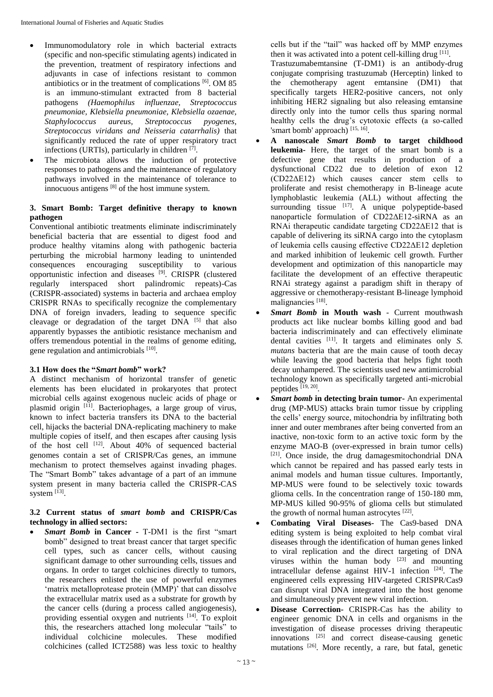- Immunomodulatory role in which bacterial extracts (specific and non-specific stimulating agents) indicated in the prevention, treatment of respiratory infections and adjuvants in case of infections resistant to common antibiotics or in the treatment of complications [6]. OM 85 is an immuno-stimulant extracted from 8 bacterial pathogens *(Haemophilus influenzae, Streptococcus pneumoniae, Klebsiella pneumoniae, Klebsiella ozaenae, Staphylococcus aureus, Streptococcus pyogenes, Streptococcus viridans and Neisseria catarrhalis)* that significantly reduced the rate of upper respiratory tract infections (URTIs), particularly in children [7].
- The microbiota allows the induction of protective responses to pathogens and the maintenance of regulatory pathways involved in the maintenance of tolerance to innocuous antigens [8] of the host immune system.

# **3. Smart Bomb: Target definitive therapy to known pathogen**

Conventional antibiotic treatments eliminate indiscriminately beneficial bacteria that are essential to digest food and produce healthy vitamins along with pathogenic bacteria perturbing the microbial harmony leading to unintended consequences encouraging susceptibility to various opportunistic infection and diseases [9]. CRISPR (clustered regularly interspaced short palindromic repeats)-Cas (CRISPR-associated) systems in bacteria and archaea employ CRISPR RNAs to specifically recognize the complementary DNA of foreign invaders, leading to sequence specific cleavage or degradation of the target DNA [5] that also apparently bypasses the antibiotic resistance mechanism and offers tremendous potential in the realms of genome editing, gene regulation and antimicrobials [10].

# **3.1 How does the "***Smart bomb***" work?**

A distinct mechanism of horizontal transfer of genetic elements has been elucidated in prokaryotes that protect microbial cells against exogenous nucleic acids of phage or plasmid origin [11]. Bacteriophages, a large group of virus, known to infect bacteria transfers its DNA to the bacterial cell, hijacks the bacterial DNA-replicating machinery to make multiple copies of itself, and then escapes after causing lysis of the host cell  $^{[12]}$ . About 40% of sequenced bacterial genomes contain a set of CRISPR/Cas genes, an immune mechanism to protect themselves against invading phages. The "Smart Bomb" takes advantage of a part of an immune system present in many bacteria called the CRISPR-CAS system [13].

# **3.2 Current status of** *smart bomb* **and CRISPR/Cas technology in allied sectors:**

 *Smart Bomb* **in Cancer -** T-DM1 is the first "smart bomb" designed to treat breast cancer that target specific cell types, such as cancer cells, without causing significant damage to other surrounding cells, tissues and organs. In order to target colchicines directly to tumors, the researchers enlisted the use of powerful enzymes 'matrix metalloprotease protein (MMP)' that can dissolve the extracellular matrix used as a substrate for growth by the cancer cells (during a process called angiogenesis), providing essential oxygen and nutrients [14]. To exploit this, the researchers attached long molecular "tails" to individual colchicine molecules. These modified colchicines (called ICT2588) was less toxic to healthy

cells but if the "tail" was hacked off by MMP enzymes then it was activated into a potent cell-killing drug [11]. Trastuzumabemtansine (T-DM1) is an antibody-drug conjugate comprising trastuzumab (Herceptin) linked to the chemotherapy agent emtansine (DM1) that specifically targets HER2-positive cancers, not only inhibiting HER2 signaling but also releasing emtansine directly only into the tumor cells thus sparing normal healthy cells the drug's cytotoxic effects (a so-called 'smart bomb' approach) [15, 16].

- **A nanoscale** *Smart Bomb* **to target childhood leukemia-** Here, the target of the smart bomb is a defective gene that results in production of a dysfunctional CD22 due to deletion of exon 12 (CD22ΔE12) which causes cancer stem cells to proliferate and resist chemotherapy in B-lineage acute lymphoblastic leukemia (ALL) without affecting the surrounding tissue  $[17]$ . A unique polypeptide-based nanoparticle formulation of CD22ΔE12-siRNA as an RNAi therapeutic candidate targeting CD22ΔE12 that is capable of delivering its siRNA cargo into the cytoplasm of leukemia cells causing effective CD22ΔE12 depletion and marked inhibition of leukemic cell growth. Further development and optimization of this nanoparticle may facilitate the development of an effective therapeutic RNAi strategy against a paradigm shift in therapy of aggressive or chemotherapy-resistant B-lineage lymphoid malignancies<sup>[18]</sup>.
- *Smart Bomb* **in Mouth wash** Current mouthwash products act like nuclear bombs killing good and bad bacteria indiscriminately and can effectively eliminate dental cavities [11]. It targets and eliminates only *S. mutans* bacteria that are the main cause of tooth decay while leaving the good bacteria that helps fight tooth decay unhampered. The scientists used new antimicrobial technology known as specifically targeted anti-microbial peptides [19, 20] .
- *Smart bomb* **in detecting brain tumor-** An experimental drug (MP-MUS) attacks brain tumor tissue by crippling the cells' energy source, mitochondria by infiltrating both inner and outer membranes after being converted from an inactive, non-toxic form to an active toxic form by the enzyme MAO-B (over-expressed in brain tumor cells) [21]. Once inside, the drug damagesmitochondrial DNA which cannot be repaired and has passed early tests in animal models and human tissue cultures. Importantly, MP-MUS were found to be selectively toxic towards glioma cells. In the concentration range of 150-180 mm, MP-MUS killed 90-95% of glioma cells but stimulated the growth of normal human astrocytes  $[22]$ .
- **Combating Viral Diseases-** The Cas9-based DNA editing system is being exploited to help combat viral diseases through the identification of human genes linked to viral replication and the direct targeting of DNA viruses within the human body  $[23]$  and mounting intracellular defense against HIV-1 infection  $[24]$ . The engineered cells expressing HIV-targeted CRISPR/Cas9 can disrupt viral DNA integrated into the host genome and simultaneously prevent new viral infection.
- **Disease Correction-** CRISPR-Cas has the ability to engineer genomic DNA in cells and organisms in the investigation of disease processes driving therapeutic innovations [25] and correct disease-causing genetic mutations [26]. More recently, a rare, but fatal, genetic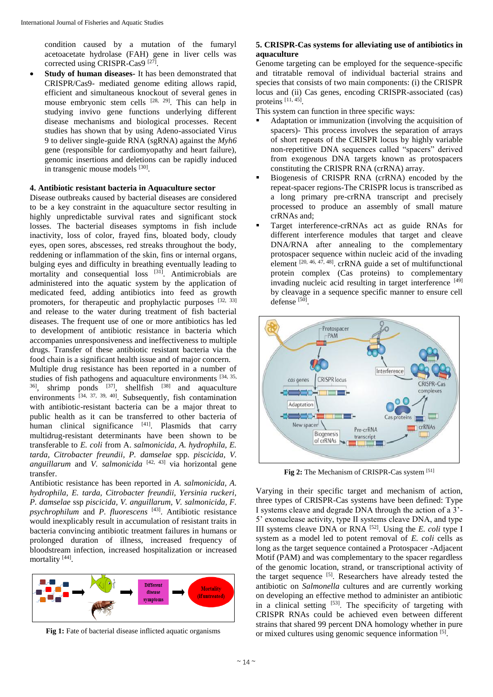condition caused by a mutation of the fumaryl acetoacetate hydrolase (FAH) gene in liver cells was corrected using CRISPR-Cas9<sup>[27]</sup>.

 **Study of human diseases-** It has been demonstrated that CRISPR/Cas9- mediated genome editing allows rapid, efficient and simultaneous knockout of several genes in mouse embryonic stem cells  $[28, 29]$ . This can help in studying invivo gene functions underlying different disease mechanisms and biological processes. Recent studies has shown that by using Adeno-associated Virus 9 to deliver single-guide RNA (sgRNA) against the *Myh6*  gene (responsible for cardiomyopathy and heart failure), genomic insertions and deletions can be rapidly induced in transgenic mouse models [30].

## **4. Antibiotic resistant bacteria in Aquaculture sector**

Disease outbreaks caused by bacterial diseases are considered to be a key constraint in the aquaculture sector resulting in highly unpredictable survival rates and significant stock losses. The bacterial diseases symptoms in fish include inactivity, loss of color, frayed fins, bloated body, cloudy eyes, open sores, abscesses, red streaks throughout the body, reddening or inflammation of the skin, fins or internal organs, bulging eyes and difficulty in breathing eventually leading to mortality and consequential loss <sup>[31]</sup>. Antimicrobials are administered into the aquatic system by the application of medicated feed, adding antibiotics into feed as growth promoters, for therapeutic and prophylactic purposes  $[32, 33]$ and release to the water during treatment of fish bacterial diseases. The frequent use of one or more antibiotics has led to development of antibiotic resistance in bacteria which accompanies unresponsiveness and ineffectiveness to multiple drugs. Transfer of these antibiotic resistant bacteria via the food chain is a significant health issue and of major concern. Multiple drug resistance has been reported in a number of studies of fish pathogens and aquaculture environments  $[34, 35,$  $36$ ], shrimp ponds  $[37]$ , shellfish  $[38]$  and aquaculture environments  $\left[34, 37, 39, 40\right]$ . Subsequently, fish contamination with antibiotic-resistant bacteria can be a major threat to public health as it can be transferred to other bacteria of human clinical significance [41]. Plasmids that carry multidrug-resistant determinants have been shown to be transferable to *E. coli* from A. *salmonicida, A. hydrophila, E.* 

*tarda, Citrobacter freundii, P. damselae* spp. *piscicida, V. anguillarum* and *V. salmonicida* [42, 43] via horizontal gene transfer.

Antibiotic resistance has been reported in *A. salmonicida, A. hydrophila, E. tarda, Citrobacter freundii, Yersinia ruckeri, P. damselae* ssp *piscicida, V. anguillarum, V. salmonicida, F. psychrophilum* and *P. fluorescens* [43]. Antibiotic resistance would inexplicably result in accumulation of resistant traits in bacteria convincing antibiotic treatment failures in humans or prolonged duration of illness, increased frequency of bloodstream infection, increased hospitalization or increased mortality<sup>[44]</sup>.



Fig 1: Fate of bacterial disease inflicted aquatic organisms

## **5. CRISPR-Cas systems for alleviating use of antibiotics in aquaculture**

Genome targeting can be employed for the sequence-specific and titratable removal of individual bacterial strains and species that consists of two main components: (i) the CRISPR locus and (ii) Cas genes, encoding CRISPR-associated (cas) proteins [11, 45].

This system can function in three specific ways:

- Adaptation or immunization (involving the acquisition of spacers)- This process involves the separation of arrays of short repeats of the CRISPR locus by highly variable non-repetitive DNA sequences called "spacers" derived from exogenous DNA targets known as protospacers constituting the CRISPR RNA (crRNA) array.
- Biogenesis of CRISPR RNA (crRNA) encoded by the repeat-spacer regions-The CRISPR locus is transcribed as a long primary pre-crRNA transcript and precisely processed to produce an assembly of small mature crRNAs and;
- Target interference-crRNAs act as guide RNAs for different interference modules that target and cleave DNA/RNA after annealing to the complementary protospacer sequence within nucleic acid of the invading element  $[20, 46, 47, 48]$ . crRNA guide a set of multifunctional protein complex (Cas proteins) to complementary invading nucleic acid resulting in target interference [49] by cleavage in a sequence specific manner to ensure cell defense [50].



**Fig 2:** The Mechanism of CRISPR-Cas system [51]

Varying in their specific target and mechanism of action, three types of CRISPR-Cas systems have been defined: Type I systems cleave and degrade DNA through the action of a 3'- 5' exonuclease activity, type II systems cleave DNA, and type III systems cleave DNA or RNA [52]. Using the *E. coli* type I system as a model led to potent removal of *E. coli* cells as long as the target sequence contained a Protospacer -Adjacent Motif (PAM) and was complementary to the spacer regardless of the genomic location, strand, or transcriptional activity of the target sequence [5]. Researchers have already tested the antibiotic on *Salmonella* cultures and are currently working on developing an effective method to administer an antibiotic in a clinical setting  $[53]$ . The specificity of targeting with CRISPR RNAs could be achieved even between different strains that shared 99 percent DNA homology whether in pure or mixed cultures using genomic sequence information [5].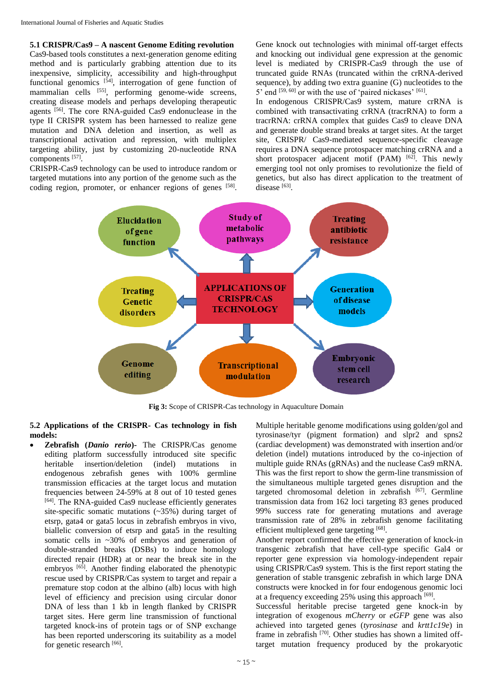**5.1 CRISPR/Cas9 – A nascent Genome Editing revolution**

Cas9-based tools constitutes a next-generation genome editing method and is particularly grabbing attention due to its inexpensive, simplicity, accessibility and high-throughput functional genomics [54], interrogation of gene function of mammalian cells <sup>[55]</sup>, performing genome-wide screens, creating disease models and perhaps developing therapeutic agents [56]. The core RNA-guided Cas9 endonuclease in the type II CRISPR system has been harnessed to realize gene mutation and DNA deletion and insertion, as well as transcriptional activation and repression, with multiplex targeting ability, just by customizing 20-nucleotide RNA components [57].

CRISPR-Cas9 technology can be used to introduce random or targeted mutations into any portion of the genome such as the coding region, promoter, or enhancer regions of genes [58].

Gene knock out technologies with minimal off-target effects and knocking out individual gene expression at the genomic level is mediated by CRISPR-Cas9 through the use of truncated guide RNAs (truncated within the crRNA-derived sequence), by adding two extra guanine (G) nucleotides to the 5' end  $[59, 60]$  or with the use of 'paired nickases'  $[61]$ .

In endogenous CRISPR/Cas9 system, mature crRNA is combined with transactivating crRNA (tracrRNA) to form a tracrRNA: crRNA complex that guides Cas9 to cleave DNA and generate double strand breaks at target sites. At the target site, CRISPR/ Cas9-mediated sequence-specific cleavage requires a DNA sequence protospacer matching crRNA and a short protospacer adjacent motif (PAM)  $[62]$ . This newly emerging tool not only promises to revolutionize the field of genetics, but also has direct application to the treatment of disease [63].



**Fig 3:** Scope of CRISPR-Cas technology in Aquaculture Domain

**5.2 Applications of the CRISPR- Cas technology in fish models:**

 **Zebrafish (***Danio rerio***)-** The CRISPR/Cas genome editing platform successfully introduced site specific heritable insertion/deletion (indel) mutations in endogenous zebrafish genes with 100% germline transmission efficacies at the target locus and mutation frequencies between 24-59% at 8 out of 10 tested genes [64]. The RNA-guided Cas9 nuclease efficiently generates site-specific somatic mutations (~35%) during target of etsrp, gata4 or gata5 locus in zebrafish embryos in vivo, biallelic conversion of etsrp and gata5 in the resulting somatic cells in ~30% of embryos and generation of double-stranded breaks (DSBs) to induce homology directed repair (HDR) at or near the break site in the embryos  $[65]$ . Another finding elaborated the phenotypic rescue used by CRISPR/Cas system to target and repair a premature stop codon at the albino (alb) locus with high level of efficiency and precision using circular donor DNA of less than 1 kb in length flanked by CRISPR target sites. Here germ line transmission of functional targeted knock-ins of protein tags or of SNP exchange has been reported underscoring its suitability as a model for genetic research [66].

Multiple heritable genome modifications using golden/gol and tyrosinase/tyr (pigment formation) and slpr2 and spns2 (cardiac development) was demonstrated with insertion and/or deletion (indel) mutations introduced by the co-injection of multiple guide RNAs (gRNAs) and the nuclease Cas9 mRNA. This was the first report to show the germ-line transmission of the simultaneous multiple targeted genes disruption and the targeted chromosomal deletion in zebrafish  $[67]$ . Germline transmission data from 162 loci targeting 83 genes produced 99% success rate for generating mutations and average transmission rate of 28% in zebrafish genome facilitating efficient multiplexed gene targeting [68].

Another report confirmed the effective generation of knock-in transgenic zebrafish that have cell-type specific Gal4 or reporter gene expression via homology-independent repair using CRISPR/Cas9 system. This is the first report stating the generation of stable transgenic zebrafish in which large DNA constructs were knocked in for four endogenous genomic loci at a frequency exceeding 25% using this approach  $[69]$ .

Successful heritable precise targeted gene knock-in by integration of exogenous *mCherry* or *eGFP* gene was also achieved into targeted genes (*tyrosinase* and *krtt1c19e*) in frame in zebrafish <sup>[70]</sup>. Other studies has shown a limited offtarget mutation frequency produced by the prokaryotic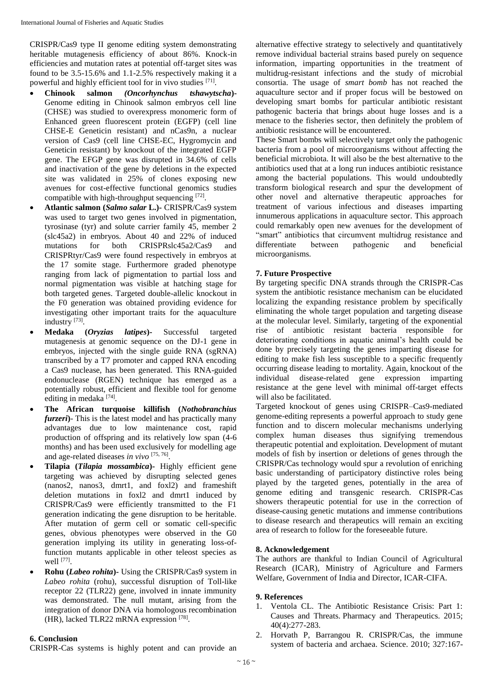CRISPR/Cas9 type II genome editing system demonstrating heritable mutagenesis efficiency of about 86%. Knock-in efficiencies and mutation rates at potential off-target sites was found to be 3.5-15.6% and 1.1-2.5% respectively making it a powerful and highly efficient tool for in vivo studies [71].

- **Chinook salmon** *(Oncorhynchus tshawytscha***)-** Genome editing in Chinook salmon embryos cell line (CHSE) was studied to overexpress monomeric form of Enhanced green fluorescent protein (EGFP) (cell line CHSE-E Geneticin resistant) and nCas9n, a nuclear version of Cas9 (cell line CHSE-EC, Hygromycin and Geneticin resistant) by knockout of the integrated EGFP gene. The EFGP gene was disrupted in 34.6% of cells and inactivation of the gene by deletions in the expected site was validated in 25% of clones exposing new avenues for cost-effective functional genomics studies compatible with high-throughput sequencing [72].
- **Atlantic salmon (***Salmo salar* **L.)-** CRISPR/Cas9 system was used to target two genes involved in pigmentation, tyrosinase (tyr) and solute carrier family 45, member 2 (slc45a2) in embryos. About 40 and 22% of induced mutations for both CRISPRslc45a2/Cas9 and CRISPRtyr/Cas9 were found respectively in embryos at the 17 somite stage. Furthermore graded phenotype ranging from lack of pigmentation to partial loss and normal pigmentation was visible at hatching stage for both targeted genes. Targeted double-allelic knockout in the F0 generation was obtained providing evidence for investigating other important traits for the aquaculture industry<sup>[73]</sup>.
- **Medaka (***Oryzias latipes***)-** Successful targeted mutagenesis at genomic sequence on the DJ-1 gene in embryos, injected with the single guide RNA (sgRNA) transcribed by a T7 promoter and capped RNA encoding a Cas9 nuclease, has been generated. This RNA-guided endonuclease (RGEN) technique has emerged as a potentially robust, efficient and flexible tool for genome editing in medaka<sup>[74]</sup>.
- **The African turquoise killifish (***Nothobranchius furzeri***)**- This is the latest model and has practically many advantages due to low maintenance cost, rapid production of offspring and its relatively low span (4-6 months) and has been used exclusively for modelling age and age-related diseases *in vivo* [75, 76] .
- **Tilapia (***Tilapia mossambica***)-** Highly efficient gene targeting was achieved by disrupting selected genes (nanos2, nanos3, dmrt1, and foxl2) and frameshift deletion mutations in foxl2 and dmrt1 induced by CRISPR/Cas9 were efficiently transmitted to the F1 generation indicating the gene disruption to be heritable. After mutation of germ cell or somatic cell-specific genes, obvious phenotypes were observed in the G0 generation implying its utility in generating loss-offunction mutants applicable in other teleost species as well [77] .
- **Rohu (***Labeo rohita***)-** Using the CRISPR/Cas9 system in *Labeo rohita* (rohu), successful disruption of Toll-like receptor 22 (TLR22) gene, involved in innate immunity was demonstrated. The null mutant, arising from the integration of donor DNA via homologous recombination (HR), lacked TLR22 mRNA expression [78].

## **6. Conclusion**

CRISPR-Cas systems is highly potent and can provide an

alternative effective strategy to selectively and quantitatively remove individual bacterial strains based purely on sequence information, imparting opportunities in the treatment of multidrug-resistant infections and the study of microbial consortia. The usage of *smart bomb* has not reached the aquaculture sector and if proper focus will be bestowed on developing smart bombs for particular antibiotic resistant pathogenic bacteria that brings about huge losses and is a menace to the fisheries sector, then definitely the problem of antibiotic resistance will be encountered.

These Smart bombs will selectively target only the pathogenic bacteria from a pool of microorganisms without affecting the beneficial microbiota. It will also be the best alternative to the antibiotics used that at a long run induces antibiotic resistance among the bacterial populations. This would undoubtedly transform biological research and spur the development of other novel and alternative therapeutic approaches for treatment of various infectious and diseases imparting innumerous applications in aquaculture sector. This approach could remarkably open new avenues for the development of "smart" antibiotics that circumvent multidrug resistance and differentiate between pathogenic and beneficial microorganisms.

# **7. Future Prospective**

By targeting specific DNA strands through the CRISPR-Cas system the antibiotic resistance mechanism can be elucidated localizing the expanding resistance problem by specifically eliminating the whole target population and targeting disease at the molecular level. Similarly, targeting of the exponential rise of antibiotic resistant bacteria responsible for deteriorating conditions in aquatic animal's health could be done by precisely targeting the genes imparting disease for editing to make fish less susceptible to a specific frequently occurring disease leading to mortality. Again, knockout of the individual disease-related gene expression imparting resistance at the gene level with minimal off-target effects will also be facilitated.

Targeted knockout of genes using CRISPR–Cas9-mediated genome-editing represents a powerful approach to study gene function and to discern molecular mechanisms underlying complex human diseases thus signifying tremendous therapeutic potential and exploitation. Development of mutant models of fish by insertion or deletions of genes through the CRISPR/Cas technology would spur a revolution of enriching basic understanding of participatory distinctive roles being played by the targeted genes, potentially in the area of genome editing and transgenic research. CRISPR-Cas showers therapeutic potential for use in the correction of disease-causing genetic mutations and immense contributions to disease research and therapeutics will remain an exciting area of research to follow for the foreseeable future.

## **8. Acknowledgement**

The authors are thankful to Indian Council of Agricultural Research (ICAR), Ministry of Agriculture and Farmers Welfare, Government of India and Director, ICAR-CIFA.

## **9. References**

- 1. Ventola CL. The Antibiotic Resistance Crisis: Part 1: Causes and Threats. Pharmacy and Therapeutics. 2015; 40(4):277-283.
- 2. Horvath P, Barrangou R. CRISPR/Cas, the immune system of bacteria and archaea. Science. 2010; 327:167-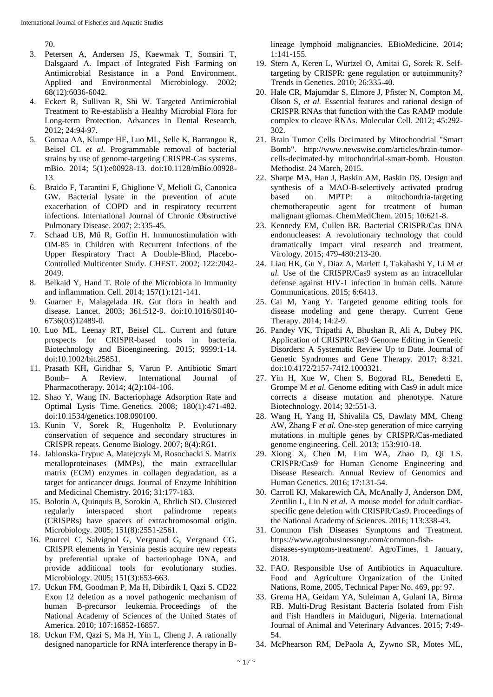70.

- 3. Petersen A, Andersen JS, Kaewmak T, Somsiri T, Dalsgaard A. Impact of Integrated Fish Farming on Antimicrobial Resistance in a Pond Environment. Applied and Environmental Microbiology. 2002; 68(12):6036-6042.
- 4. Eckert R, Sullivan R, Shi W. Targeted Antimicrobial Treatment to Re-establish a Healthy Microbial Flora for Long-term Protection. Advances in Dental Research. 2012; 24:94-97.
- 5. Gomaa AA, Klumpe HE, Luo ML, Selle K, Barrangou R, Beisel CL *et al.* Programmable removal of bacterial strains by use of genome-targeting CRISPR-Cas systems. mBio. 2014; 5(1):e00928-13. doi:10.1128/mBio.00928- 13.
- 6. Braido F, Tarantini F, Ghiglione V, Melioli G, Canonica GW. Bacterial lysate in the prevention of acute exacerbation of COPD and in respiratory recurrent infections. International Journal of Chronic Obstructive Pulmonary Disease. 2007; 2:335-45.
- 7. Schaad UB, Mü R, Goffin H. Immunostimulation with OM-85 in Children with Recurrent Infections of the Upper Respiratory Tract A Double-Blind, Placebo-Controlled Multicenter Study. CHEST. 2002; 122:2042- 2049.
- 8. Belkaid Y, Hand T. Role of the Microbiota in Immunity and inflammation. Cell. 2014; 157(1):121-141.
- 9. Guarner F, Malagelada JR. Gut flora in health and disease. Lancet. 2003; 361:512-9. doi:10.1016/S0140- 6736(03)12489-0.
- 10. Luo ML, Leenay RT, Beisel CL. Current and future prospects for CRISPR-based tools in bacteria. Biotechnology and Bioengineering. 2015; 9999:1-14. doi:10.1002/bit.25851.
- 11. Prasath KH, Giridhar S, Varun P. Antibiotic Smart Bomb– A Review. International Journal of Pharmacotherapy. 2014; 4(2):104-106.
- 12. Shao Y, Wang IN. Bacteriophage Adsorption Rate and Optimal Lysis Time. Genetics. 2008; 180(1):471-482. doi:10.1534/genetics.108.090100.
- 13. Kunin V, Sorek R, Hugenholtz P. Evolutionary conservation of sequence and secondary structures in CRISPR repeats. Genome Biology. 2007; 8(4):R61.
- 14. Jablonska-Trypuc A, Matejczyk M, Rosochacki S. Matrix metalloproteinases (MMPs), the main extracellular matrix (ECM) enzymes in collagen degradation, as a target for anticancer drugs. Journal of Enzyme Inhibition and Medicinal Chemistry. 2016; 31:177-183.
- 15. Bolotin A, Quinquis B, Sorokin A, Ehrlich SD. Clustered regularly interspaced short palindrome repeats (CRISPRs) have spacers of extrachromosomal origin. Microbiology. 2005; 151(8):2551-2561.
- 16. Pourcel C, Salvignol G, Vergnaud G, Vergnaud CG. CRISPR elements in Yersinia pestis acquire new repeats by preferential uptake of bacteriophage DNA, and provide additional tools for evolutionary studies. Microbiology. 2005; 151(3):653-663.
- 17. Uckun FM, Goodman P, Ma H, Dibirdik I, Qazi S. CD22 Exon 12 deletion as a novel pathogenic mechanism of human B-precursor leukemia. Proceedings of the National Academy of Sciences of the United States of America. 2010; 107:16852-16857.
- 18. Uckun FM, Qazi S, Ma H, Yin L, Cheng J. A rationally designed nanoparticle for RNA interference therapy in B-

lineage lymphoid malignancies. EBioMedicine. 2014; 1:141-155.

- 19. Stern A, Keren L, Wurtzel O, Amitai G, Sorek R. Selftargeting by CRISPR: gene regulation or autoimmunity? Trends in Genetics. 2010; 26:335-40.
- 20. Hale CR, Majumdar S, Elmore J, Pfister N, Compton M, Olson S, *et al.* Essential features and rational design of CRISPR RNAs that function with the Cas RAMP module complex to cleave RNAs. Molecular Cell. 2012; 45:292- 302.
- 21. Brain Tumor Cells Decimated by Mitochondrial "Smart Bomb". http://www.newswise.com/articles/brain-tumorcells-decimated-by mitochondrial-smart-bomb. Houston Methodist. 24 March, 2015.
- 22. Sharpe MA, Han J, Baskin AM, Baskin DS. Design and synthesis of a MAO-B-selectively activated prodrug based on MPTP: a mitochondria-targeting chemotherapeutic agent for treatment of human malignant gliomas. ChemMedChem. 2015; 10:621-8.
- 23. Kennedy EM, Cullen BR. Bacterial CRISPR/Cas DNA endonucleases: A revolutionary technology that could dramatically impact viral research and treatment. Virology. 2015; 479-480:213-20.
- 24. Liao HK, Gu Y, Diaz A, Marlett J, Takahashi Y, Li M *et al.* Use of the CRISPR/Cas9 system as an intracellular defense against HIV-1 infection in human cells. Nature Communications. 2015; 6:6413.
- 25. Cai M, Yang Y. Targeted genome editing tools for disease modeling and gene therapy. Current Gene Therapy. 2014; 14:2-9.
- 26. Pandey VK, Tripathi A, Bhushan R, Ali A, Dubey PK. Application of CRISPR/Cas9 Genome Editing in Genetic Disorders: A Systematic Review Up to Date. Journal of Genetic Syndromes and Gene Therapy. 2017; 8:321. doi:10.4172/2157-7412.1000321.
- 27. Yin H, Xue W, Chen S, Bogorad RL, Benedetti E, Grompe M *et al.* Genome editing with Cas9 in adult mice corrects a disease mutation and phenotype. Nature Biotechnology. 2014; 32:551-3.
- 28. Wang H, Yang H, Shivalila CS, Dawlaty MM, Cheng AW, Zhang F *et al.* One-step generation of mice carrying mutations in multiple genes by CRISPR/Cas-mediated genome engineering. Cell. 2013; 153:910-18.
- 29. Xiong X, Chen M, Lim WA, Zhao D, Qi LS. CRISPR/Cas9 for Human Genome Engineering and Disease Research. Annual Review of Genomics and Human Genetics. 2016; 17:131-54.
- 30. Carroll KJ, Makarewich CA, McAnally J, Anderson DM, Zentilin L, Liu N *et al.* A mouse model for adult cardiacspecific gene deletion with CRISPR/Cas9. Proceedings of the National Academy of Sciences. 2016; 113:338-43.
- 31. Common Fish Diseases Symptoms and Treatment. https://www.agrobusinessngr.com/common-fishdiseases-symptoms-treatment/. AgroTimes, 1 January, 2018.
- 32. FAO. Responsible Use of Antibiotics in Aquaculture. Food and Agriculture Organization of the United Nations, Rome, 2005, Technical Paper No. 469, pp: 97.
- 33. Grema HA, Geidam YA, Suleiman A, Gulani IA, Birma RB. Multi-Drug Resistant Bacteria Isolated from Fish and Fish Handlers in Maiduguri, Nigeria. International Journal of Animal and Veterinary Advances. 2015; **7**:49- 54.
- 34. McPhearson RM, DePaola A, Zywno SR, Motes ML,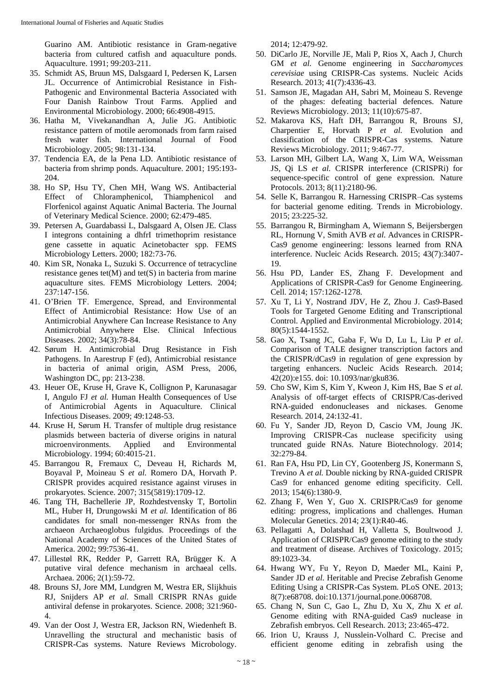Guarino AM. Antibiotic resistance in Gram-negative bacteria from cultured catfish and aquaculture ponds. Aquaculture. 1991; 99:203-211.

- 35. Schmidt AS, Bruun MS, Dalsgaard I, Pedersen K, Larsen JL. Occurrence of Antimicrobial Resistance in Fish-Pathogenic and Environmental Bacteria Associated with Four Danish Rainbow Trout Farms. Applied and Environmental Microbiology. 2000; 66:4908-4915.
- 36. Hatha M, Vivekanandhan A, Julie JG. Antibiotic resistance pattern of motile aeromonads from farm raised fresh water fish. International Journal of Food Microbiology. 2005; 98:131-134.
- 37. Tendencia EA, de la Pena LD. Antibiotic resistance of bacteria from shrimp ponds. Aquaculture. 2001; 195:193- 204.
- 38. Ho SP, Hsu TY, Chen MH, Wang WS. Antibacterial Effect of Chloramphenicol, Thiamphenicol and Florfenicol against Aquatic Animal Bacteria. The Journal of Veterinary Medical Science. 2000; 62:479-485.
- 39. Petersen A, Guardabassi L, Dalsgaard A, Olsen JE. Class I integrons containing a dhfrI trimethoprim resistance gene cassette in aquatic Acinetobacter spp. FEMS Microbiology Letters. 2000; 182:73-76.
- 40. Kim SR, Nonaka L, Suzuki S. Occurrence of tetracycline resistance genes  $tet(M)$  and  $tet(S)$  in bacteria from marine aquaculture sites. FEMS Microbiology Letters. 2004; 237:147-156.
- 41. O'Brien TF. Emergence, Spread, and Environmental Effect of Antimicrobial Resistance: How Use of an Antimicrobial Anywhere Can Increase Resistance to Any Antimicrobial Anywhere Else. Clinical Infectious Diseases. 2002; 34(3):78-84.
- 42. Sørum H. Antimicrobial Drug Resistance in Fish Pathogens. In Aarestrup F (ed), Antimicrobial resistance in bacteria of animal origin, ASM Press, 2006, Washington DC, pp: 213-238.
- 43. Heuer OE, Kruse H, Grave K, Collignon P, Karunasagar I, Angulo FJ *et al.* Human Health Consequences of Use of Antimicrobial Agents in Aquaculture. Clinical Infectious Diseases. 2009; 49:1248-53.
- 44. Kruse H, Sørum H. Transfer of multiple drug resistance plasmids between bacteria of diverse origins in natural microenvironments. Applied and Environmental Microbiology. 1994; 60:4015-21.
- 45. Barrangou R, Fremaux C, Deveau H, Richards M, Boyaval P, Moineau S *et al.* Romero DA, Horvath P. CRISPR provides acquired resistance against viruses in prokaryotes. Science. 2007; 315(5819):1709-12.
- 46. Tang TH, Bachellerie JP, Rozhdestvensky T, Bortolin ML, Huber H, Drungowski M *et al.* Identification of 86 candidates for small non-messenger RNAs from the archaeon Archaeoglobus fulgidus. Proceedings of the National Academy of Sciences of the United States of America. 2002; 99:7536-41.
- 47. Lillestøl RK, Redder P, Garrett RA, Brügger K. A putative viral defence mechanism in archaeal cells. Archaea. 2006; 2(1):59-72.
- 48. Brouns SJ, Jore MM, Lundgren M, Westra ER, Slijkhuis RJ, Snijders AP *et al.* Small CRISPR RNAs guide antiviral defense in prokaryotes. Science. 2008; 321:960- 4.
- 49. Van der Oost J, Westra ER, Jackson RN, Wiedenheft B. Unravelling the structural and mechanistic basis of CRISPR-Cas systems. Nature Reviews Microbology.

2014; 12:479-92.

- 50. DiCarlo JE, Norville JE, Mali P, Rios X, Aach J, Church GM *et al.* Genome engineering in *Saccharomyces cerevisiae* using CRISPR-Cas systems. Nucleic Acids Research. 2013; 41(7):4336-43.
- 51. Samson JE, Magadan AH, Sabri M, Moineau S. Revenge of the phages: defeating bacterial defences. Nature Reviews Microbiology. 2013; 11(10):675-87.
- 52. Makarova KS, Haft DH, Barrangou R, Brouns SJ, Charpentier E, Horvath P *et al.* Evolution and classification of the CRISPR-Cas systems. Nature Reviews Microbiology. 2011; 9:467-77.
- 53. Larson MH, Gilbert LA, Wang X, Lim WA, Weissman JS, Qi LS *et al.* CRISPR interference (CRISPRi) for sequence-specific control of gene expression. Nature Protocols. 2013; 8(11):2180-96.
- 54. Selle K, Barrangou R. Harnessing CRISPR–Cas systems for bacterial genome editing. Trends in Microbiology. 2015; 23:225-32.
- 55. Barrangou R, Birmingham A, Wiemann S, Beijersbergen RL, Hornung V, Smith AVB *et al.* Advances in CRISPR-Cas9 genome engineering: lessons learned from RNA interference. Nucleic Acids Research. 2015; 43(7):3407- 19.
- 56. Hsu PD, Lander ES, Zhang F. Development and Applications of CRISPR-Cas9 for Genome Engineering. Cell. 2014; 157:1262-1278.
- 57. Xu T, Li Y, Nostrand JDV, He Z, Zhou J. Cas9-Based Tools for Targeted Genome Editing and Transcriptional Control. Applied and Environmental Microbiology. 2014; 80(5):1544-1552.
- 58. Gao X, Tsang JC, Gaba F, Wu D, Lu L, Liu P *et al*. Comparison of TALE designer transcription factors and the CRISPR/dCas9 in regulation of gene expression by targeting enhancers. Nucleic Acids Research. 2014; 42(20):e155. doi: 10.1093/nar/gku836.
- 59. Cho SW, Kim S, Kim Y, Kweon J, Kim HS, Bae S *et al.* Analysis of off-target effects of CRISPR/Cas-derived RNA-guided endonucleases and nickases. Genome Research. 2014, 24:132-41.
- 60. Fu Y, Sander JD, Reyon D, Cascio VM, Joung JK. Improving CRISPR-Cas nuclease specificity using truncated guide RNAs. Nature Biotechnology. 2014; 32:279-84.
- 61. Ran FA, Hsu PD, Lin CY, Gootenberg JS, Konermann S, Trevino A *et al.* Double nicking by RNA-guided CRISPR Cas9 for enhanced genome editing specificity. Cell. 2013; 154(6):1380-9.
- 62. Zhang F, Wen Y, Guo X. CRISPR/Cas9 for genome editing: progress, implications and challenges. Human Molecular Genetics. 2014; 23(1):R40-46.
- 63. Pellagatti A, Dolatshad H, Valletta S, Boultwood J. Application of CRISPR/Cas9 genome editing to the study and treatment of disease. Archives of Toxicology. 2015; 89:1023-34.
- 64. Hwang WY, Fu Y, Reyon D, Maeder ML, Kaini P, Sander JD *et al.* Heritable and Precise Zebrafish Genome Editing Using a CRISPR-Cas System. PLoS ONE. 2013; 8(7):e68708. doi:10.1371/journal.pone.0068708.
- 65. Chang N, Sun C, Gao L, Zhu D, Xu X, Zhu X *et al.* Genome editing with RNA-guided Cas9 nuclease in Zebrafish embryos. Cell Research. 2013; 23:465-472.
- 66. Irion U, Krauss J, Nusslein-Volhard C. Precise and efficient genome editing in zebrafish using the